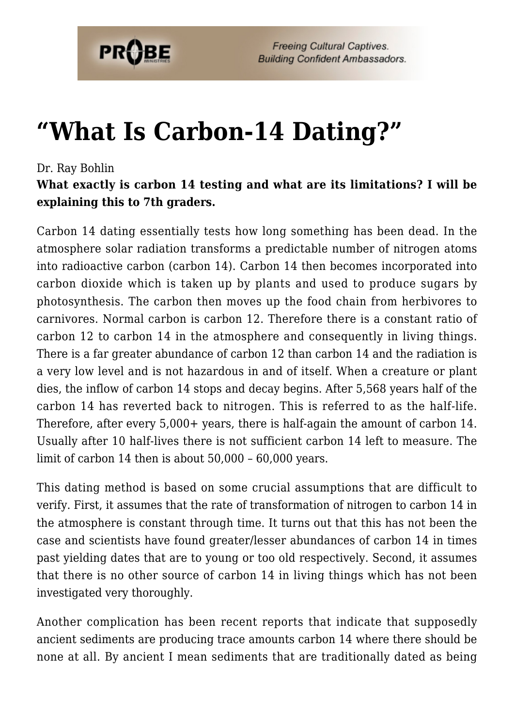

## **["What Is Carbon-14 Dating?"](https://probe.org/what-is-carbon-14-dating/)**

## Dr. Ray Bohlin

**What exactly is carbon 14 testing and what are its limitations? I will be explaining this to 7th graders.**

Carbon 14 dating essentially tests how long something has been dead. In the atmosphere solar radiation transforms a predictable number of nitrogen atoms into radioactive carbon (carbon 14). Carbon 14 then becomes incorporated into carbon dioxide which is taken up by plants and used to produce sugars by photosynthesis. The carbon then moves up the food chain from herbivores to carnivores. Normal carbon is carbon 12. Therefore there is a constant ratio of carbon 12 to carbon 14 in the atmosphere and consequently in living things. There is a far greater abundance of carbon 12 than carbon 14 and the radiation is a very low level and is not hazardous in and of itself. When a creature or plant dies, the inflow of carbon 14 stops and decay begins. After 5,568 years half of the carbon 14 has reverted back to nitrogen. This is referred to as the half-life. Therefore, after every 5,000+ years, there is half-again the amount of carbon 14. Usually after 10 half-lives there is not sufficient carbon 14 left to measure. The limit of carbon 14 then is about 50,000 – 60,000 years.

This dating method is based on some crucial assumptions that are difficult to verify. First, it assumes that the rate of transformation of nitrogen to carbon 14 in the atmosphere is constant through time. It turns out that this has not been the case and scientists have found greater/lesser abundances of carbon 14 in times past yielding dates that are to young or too old respectively. Second, it assumes that there is no other source of carbon 14 in living things which has not been investigated very thoroughly.

Another complication has been recent reports that indicate that supposedly ancient sediments are producing trace amounts carbon 14 where there should be none at all. By ancient I mean sediments that are traditionally dated as being